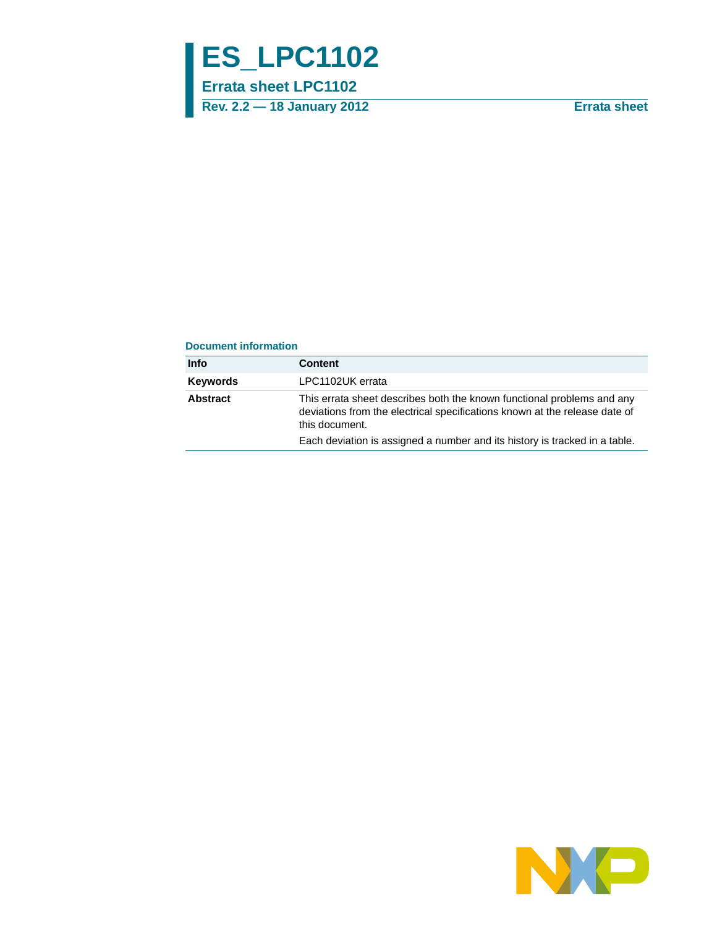# **ES\_LPC1102**

**Errata sheet LPC1102**

**Rev. 2.2 — 18 January 2012 Errata sheet**

#### **Document information**

| <b>Info</b>     | <b>Content</b>                                                                                                                                                         |
|-----------------|------------------------------------------------------------------------------------------------------------------------------------------------------------------------|
| <b>Keywords</b> | LPC1102UK errata                                                                                                                                                       |
| <b>Abstract</b> | This errata sheet describes both the known functional problems and any<br>deviations from the electrical specifications known at the release date of<br>this document. |
|                 | Each deviation is assigned a number and its history is tracked in a table.                                                                                             |

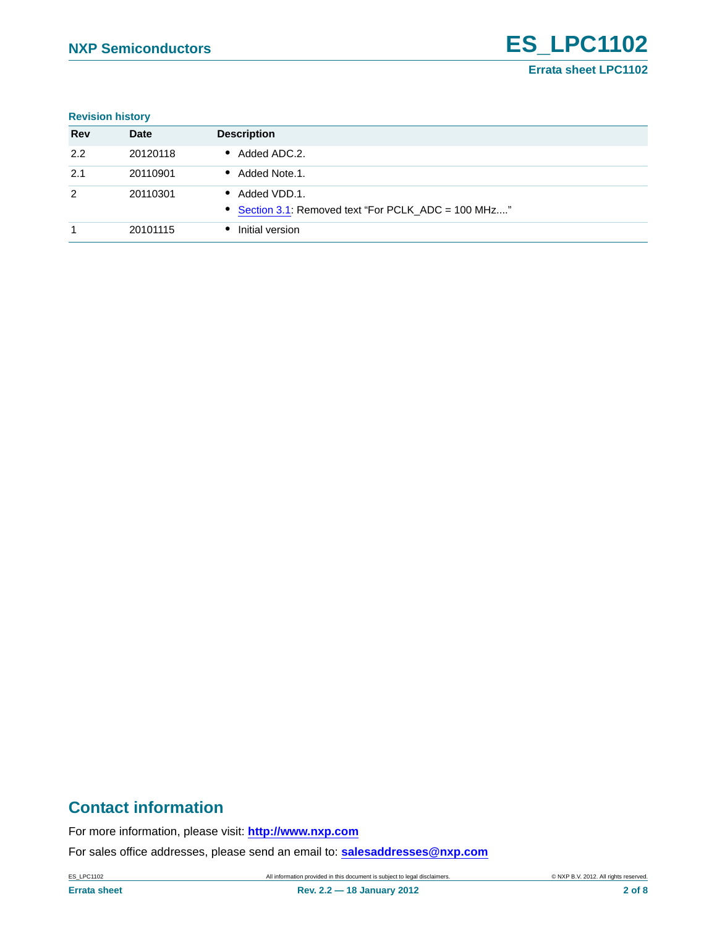#### **Revision history**

| <b>Rev</b> | <b>Date</b> | <b>Description</b>                                                   |
|------------|-------------|----------------------------------------------------------------------|
| 2.2        | 20120118    | Added ADC.2.<br>$\bullet$                                            |
| 2.1        | 20110901    | Added Note.1.<br>$\bullet$                                           |
| 2          | 20110301    | Added VDD.1.<br>• Section 3.1: Removed text "For PCLK_ADC = 100 MHz" |
|            | 20101115    | Initial version                                                      |

### **Contact information**

For more information, please visit: **http://www.nxp.com**

For sales office addresses, please send an email to: **salesaddresses@nxp.com**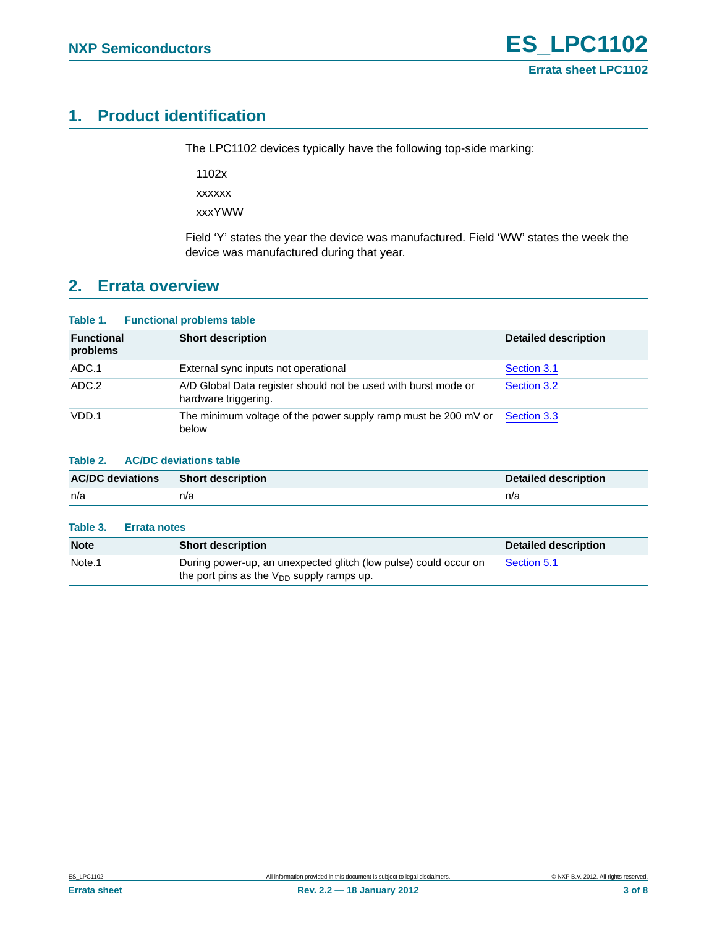### <span id="page-2-0"></span>**1. Product identification**

The LPC1102 devices typically have the following top-side marking:

1102x xxxxxx

xxxYWW

Field 'Y' states the year the device was manufactured. Field 'WW' states the week the device was manufactured during that year.

### <span id="page-2-1"></span>**2. Errata overview**

#### **Table 1. Functional problems table Functional problems Short description Detailed description** ADC.1 **External sync inputs not operational CE** External [Section 3.1](#page-3-0) ADC.2 A/D Global Data register should not be used with burst mode or hardware triggering. [Section 3.2](#page-4-0) VDD.1 The minimum voltage of the power supply ramp must be 200 mV or below [Section 3.3](#page-5-0)

#### **Table 2. AC/DC deviations table**

| <b>AC/DC deviations</b> | <b>Short description</b> | <b>Detailed description</b> |
|-------------------------|--------------------------|-----------------------------|
| n/a                     | n/a                      | n/a                         |

### **Table 3. Errata notes**

| <b>Note</b> | <b>Short description</b>                                                                                           | Detailed description |
|-------------|--------------------------------------------------------------------------------------------------------------------|----------------------|
| Note.1      | During power-up, an unexpected glitch (low pulse) could occur on<br>the port pins as the $V_{DD}$ supply ramps up. | Section 5.1          |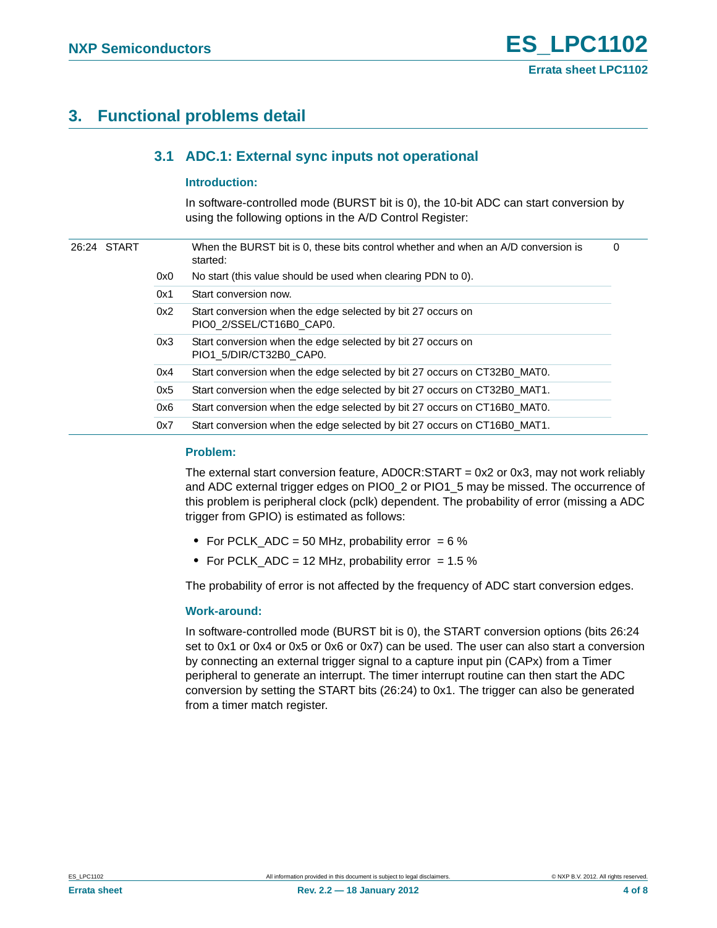### <span id="page-3-1"></span><span id="page-3-0"></span>**3. Functional problems detail**

#### **3.1 ADC.1: External sync inputs not operational**

#### <span id="page-3-2"></span>**Introduction:**

In software-controlled mode (BURST bit is 0), the 10-bit ADC can start conversion by using the following options in the A/D Control Register:

| 26:24 START |     |                                                                          | When the BURST bit is 0, these bits control whether and when an A/D conversion is<br>started: | 0 |
|-------------|-----|--------------------------------------------------------------------------|-----------------------------------------------------------------------------------------------|---|
|             | 0x0 | No start (this value should be used when clearing PDN to 0).             |                                                                                               |   |
|             |     | 0x1                                                                      | Start conversion now.                                                                         |   |
|             |     | 0x2                                                                      | Start conversion when the edge selected by bit 27 occurs on<br>PIO0 2/SSEL/CT16B0 CAP0.       |   |
|             |     | 0x3                                                                      | Start conversion when the edge selected by bit 27 occurs on<br>PIO1 5/DIR/CT32B0 CAP0.        |   |
|             |     | 0x4                                                                      | Start conversion when the edge selected by bit 27 occurs on CT32B0 MAT0.                      |   |
|             | 0x5 | Start conversion when the edge selected by bit 27 occurs on CT32B0_MAT1. |                                                                                               |   |
|             |     | 0x6                                                                      | Start conversion when the edge selected by bit 27 occurs on CT16B0 MAT0.                      |   |
|             |     | 0x7                                                                      | Start conversion when the edge selected by bit 27 occurs on CT16B0_MAT1.                      |   |
|             |     |                                                                          |                                                                                               |   |

#### <span id="page-3-3"></span>**Problem:**

The external start conversion feature, AD0CR:START = 0x2 or 0x3, may not work reliably and ADC external trigger edges on PIO0\_2 or PIO1\_5 may be missed. The occurrence of this problem is peripheral clock (pclk) dependent. The probability of error (missing a ADC trigger from GPIO) is estimated as follows:

- **•** For PCLK\_ADC = 50 MHz, probability error = 6 %
- For PCLK\_ADC = 12 MHz, probability error = 1.5 %

The probability of error is not affected by the frequency of ADC start conversion edges.

#### <span id="page-3-4"></span>**Work-around:**

In software-controlled mode (BURST bit is 0), the START conversion options (bits 26:24 set to 0x1 or 0x4 or 0x5 or 0x6 or 0x7) can be used. The user can also start a conversion by connecting an external trigger signal to a capture input pin (CAPx) from a Timer peripheral to generate an interrupt. The timer interrupt routine can then start the ADC conversion by setting the START bits (26:24) to 0x1. The trigger can also be generated from a timer match register.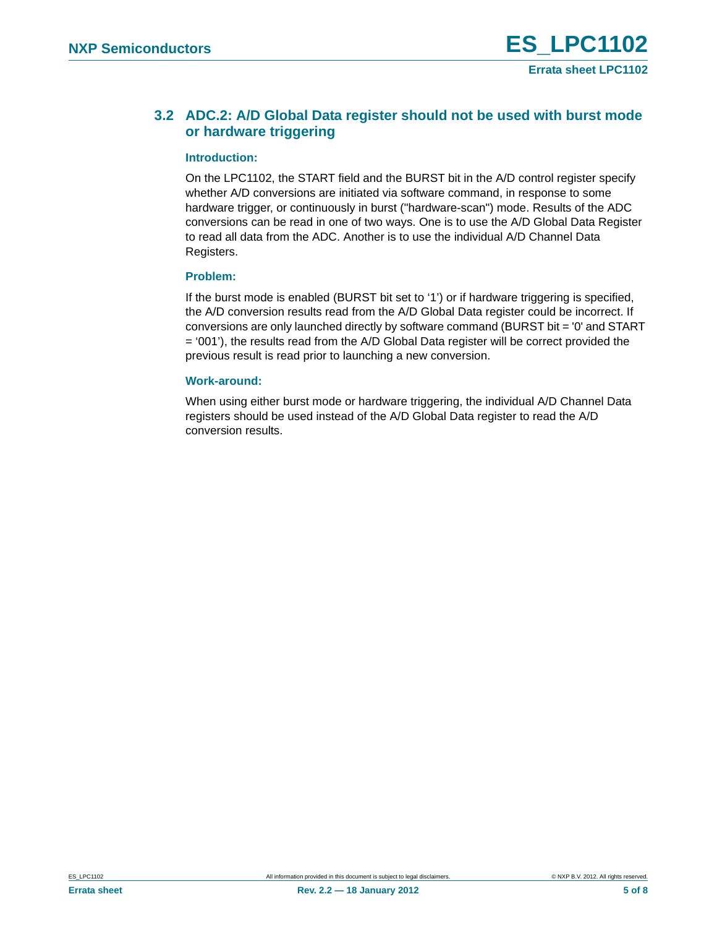### <span id="page-4-0"></span>**3.2 ADC.2: A/D Global Data register should not be used with burst mode or hardware triggering**

#### <span id="page-4-1"></span>**Introduction:**

On the LPC1102, the START field and the BURST bit in the A/D control register specify whether A/D conversions are initiated via software command, in response to some hardware trigger, or continuously in burst ("hardware-scan") mode. Results of the ADC conversions can be read in one of two ways. One is to use the A/D Global Data Register to read all data from the ADC. Another is to use the individual A/D Channel Data Registers.

#### <span id="page-4-2"></span>**Problem:**

If the burst mode is enabled (BURST bit set to '1') or if hardware triggering is specified, the A/D conversion results read from the A/D Global Data register could be incorrect. If conversions are only launched directly by software command (BURST bit = '0' and START = '001'), the results read from the A/D Global Data register will be correct provided the previous result is read prior to launching a new conversion.

#### <span id="page-4-3"></span>**Work-around:**

When using either burst mode or hardware triggering, the individual A/D Channel Data registers should be used instead of the A/D Global Data register to read the A/D conversion results.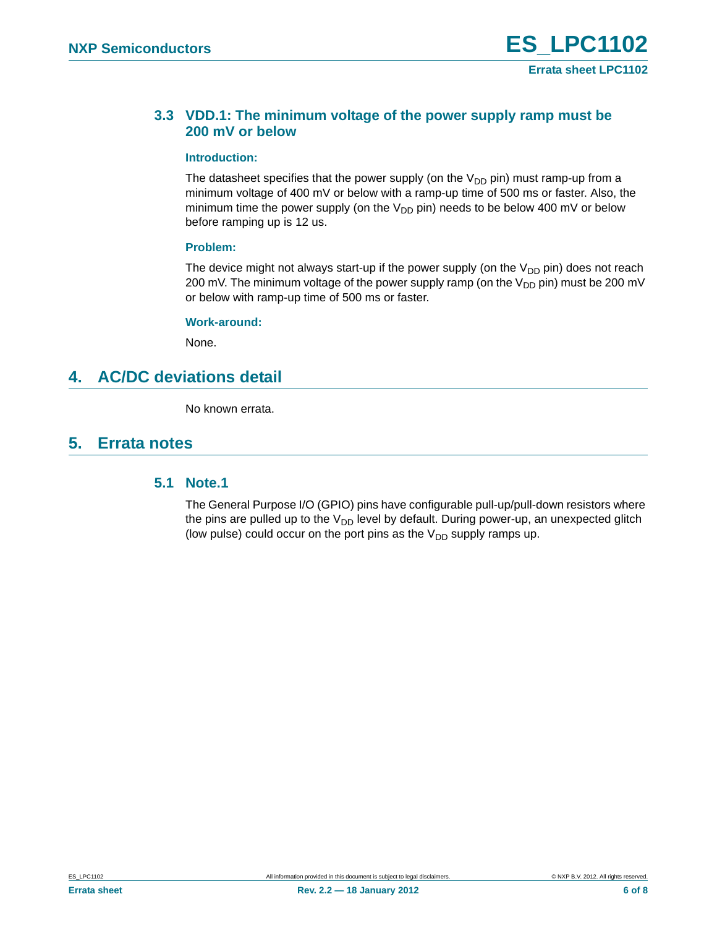#### <span id="page-5-0"></span>**3.3 VDD.1: The minimum voltage of the power supply ramp must be 200 mV or below**

#### <span id="page-5-2"></span>**Introduction:**

The datasheet specifies that the power supply (on the  $V_{DD}$  pin) must ramp-up from a minimum voltage of 400 mV or below with a ramp-up time of 500 ms or faster. Also, the minimum time the power supply (on the  $V_{DD}$  pin) needs to be below 400 mV or below before ramping up is 12 us.

#### <span id="page-5-3"></span>**Problem:**

The device might not always start-up if the power supply (on the  $V_{DD}$  pin) does not reach 200 mV. The minimum voltage of the power supply ramp (on the  $V_{DD}$  pin) must be 200 mV or below with ramp-up time of 500 ms or faster.

#### <span id="page-5-4"></span>**Work-around:**

None.

### <span id="page-5-5"></span>**4. AC/DC deviations detail**

No known errata.

### <span id="page-5-6"></span><span id="page-5-1"></span>**5. Errata notes**

#### **5.1 Note.1**

The General Purpose I/O (GPIO) pins have configurable pull-up/pull-down resistors where the pins are pulled up to the  $V_{DD}$  level by default. During power-up, an unexpected glitch (low pulse) could occur on the port pins as the  $V_{DD}$  supply ramps up.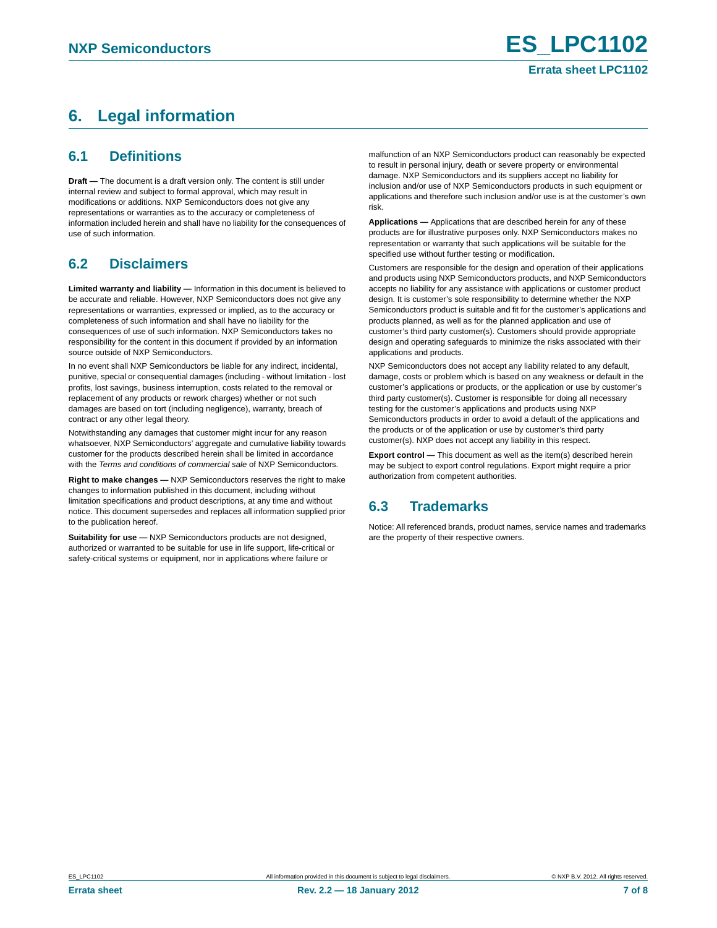## <span id="page-6-0"></span>**6. Legal information**

#### <span id="page-6-1"></span>**6.1 Definitions**

**Draft —** The document is a draft version only. The content is still under internal review and subject to formal approval, which may result in modifications or additions. NXP Semiconductors does not give any representations or warranties as to the accuracy or completeness of information included herein and shall have no liability for the consequences of use of such information.

### <span id="page-6-2"></span>**6.2 Disclaimers**

**Limited warranty and liability —** Information in this document is believed to be accurate and reliable. However, NXP Semiconductors does not give any representations or warranties, expressed or implied, as to the accuracy or completeness of such information and shall have no liability for the consequences of use of such information. NXP Semiconductors takes no responsibility for the content in this document if provided by an information source outside of NXP Semiconductors.

In no event shall NXP Semiconductors be liable for any indirect, incidental, punitive, special or consequential damages (including - without limitation - lost profits, lost savings, business interruption, costs related to the removal or replacement of any products or rework charges) whether or not such damages are based on tort (including negligence), warranty, breach of contract or any other legal theory.

Notwithstanding any damages that customer might incur for any reason whatsoever, NXP Semiconductors' aggregate and cumulative liability towards customer for the products described herein shall be limited in accordance with the *Terms and conditions of commercial sale* of NXP Semiconductors.

**Right to make changes —** NXP Semiconductors reserves the right to make changes to information published in this document, including without limitation specifications and product descriptions, at any time and without notice. This document supersedes and replaces all information supplied prior to the publication hereof.

**Suitability for use —** NXP Semiconductors products are not designed, authorized or warranted to be suitable for use in life support, life-critical or safety-critical systems or equipment, nor in applications where failure or

malfunction of an NXP Semiconductors product can reasonably be expected to result in personal injury, death or severe property or environmental damage. NXP Semiconductors and its suppliers accept no liability for inclusion and/or use of NXP Semiconductors products in such equipment or applications and therefore such inclusion and/or use is at the customer's own risk.

**Applications —** Applications that are described herein for any of these products are for illustrative purposes only. NXP Semiconductors makes no representation or warranty that such applications will be suitable for the specified use without further testing or modification.

Customers are responsible for the design and operation of their applications and products using NXP Semiconductors products, and NXP Semiconductors accepts no liability for any assistance with applications or customer product design. It is customer's sole responsibility to determine whether the NXP Semiconductors product is suitable and fit for the customer's applications and products planned, as well as for the planned application and use of customer's third party customer(s). Customers should provide appropriate design and operating safeguards to minimize the risks associated with their applications and products.

NXP Semiconductors does not accept any liability related to any default, damage, costs or problem which is based on any weakness or default in the customer's applications or products, or the application or use by customer's third party customer(s). Customer is responsible for doing all necessary testing for the customer's applications and products using NXP Semiconductors products in order to avoid a default of the applications and the products or of the application or use by customer's third party customer(s). NXP does not accept any liability in this respect.

**Export control —** This document as well as the item(s) described herein may be subject to export control regulations. Export might require a prior authorization from competent authorities.

### <span id="page-6-3"></span>**6.3 Trademarks**

Notice: All referenced brands, product names, service names and trademarks are the property of their respective owners.